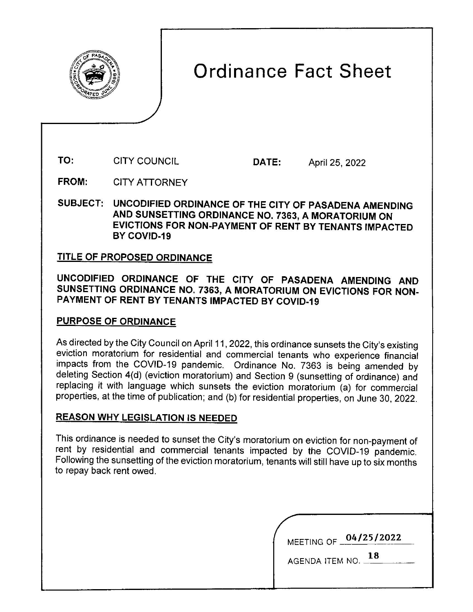

# Ordinance Fact Sheet

TO: CITY COUNCIL DATE: April 25, 2022

FROM: CITY ATTORNEY

SUBJECT: UNCODIFIED ORDINANCE OF THE CITY OF PASADENA AMENDING AND SUNSETTING ORDINANCE NO. 7363, A MORATORIUM ON EVICTIONS FOR NON-PAYMENT OF RENT BY TENANTS IMPACTED BY COVID-19

## TITLE OF PROPOSED ORDINANCE

**UNCODIFIED ORDINANCE OF THE CITY OF PASADENA AMENDING AND SUNSETTING ORDINANCE NO. 7363, A MORATORIUM ON EVICTIONS FOR NON-PAYMENT OF RENT BY TENANTS IMPACTED BY COVID-19** 

## **PURPOSE OF ORDINANCE**

As directed by the City Council on April 11, 2022, this ordinance sunsets the City's existing eviction moratorium for residential and commercial tenants who experience financial impacts from the COVID-19 pandemic. Ordinance No. 7363 is being amended by deleting Section 4(d) (eviction moratorium) and Section 9 (sunsetting of ordinance) and replacing it with language which sunsets the eviction moratorium (a) for commercial properties, at the time of publication; and (b) for residential properties, on June 30, 2022.

## **REASON WHY LEGISLATION IS NEEDED**

This ordinance is needed to sunset the City's moratorium on eviction for non-payment of rent by residential and commercial tenants impacted by the COVID-19 pandemic. Following the sunsetting of the eviction moratorium, tenants will still have up to six months to repay back rent owed.

|                 | MEETING OF 04/25/2022 |
|-----------------|-----------------------|
| AGENDA ITEM NO. | 18                    |